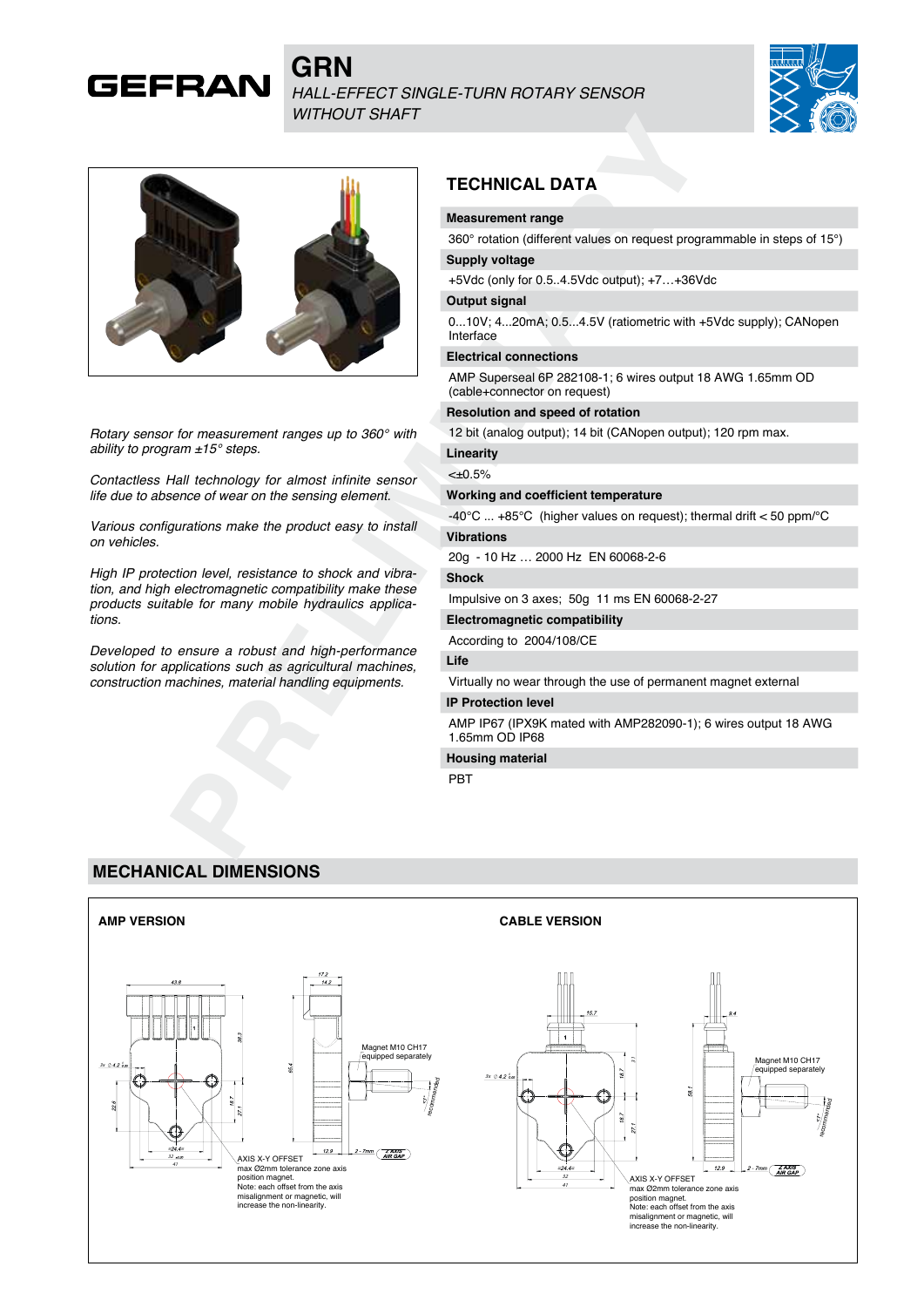# **GRN** *HALL-EFFECT SINGLE-TURN ROTARY SENSOR WITHOUT SHAFT*





**GEFRAN** 

*Rotary sensor for measurement ranges up to 360° with ability to program ±15° steps.*

*Contactless Hall technology for almost infinite sensor life due to absence of wear on the sensing element.*

*Various configurations make the product easy to install on vehicles.*

*High IP protection level, resistance to shock and vibration, and high electromagnetic compatibility make these products suitable for many mobile hydraulics applications.*

*Developed to ensure a robust and high-performance solution for applications such as agricultural machines, construction machines, material handling equipments.*

# **TECHNICAL DATA**

#### **Measurement range**

360° rotation (different values on request programmable in steps of 15°)

# **Supply voltage**

+5Vdc (only for 0.5..4.5Vdc output); +7…+36Vdc

## **Output signal**

0...10V; 4...20mA; 0.5...4.5V (ratiometric with +5Vdc supply); CANopen Interface

#### **Electrical connections**

AMP Superseal 6P 282108-1; 6 wires output 18 AWG 1.65mm OD (cable+connector on request)

#### **Resolution and speed of rotation**

12 bit (analog output); 14 bit (CANopen output); 120 rpm max.

### **Linearity**

 $$ 

#### **Working and coefficient temperature**

-40°C ... +85°C (higher values on request); thermal drift < 50 ppm/°C **Vibrations**

20g - 10 Hz … 2000 Hz EN 60068-2-6

#### **Shock**

Impulsive on 3 axes; 50g 11 ms EN 60068-2-27

# **Electromagnetic compatibility**

According to 2004/108/CE

## **Life**

Virtually no wear through the use of permanent magnet external

## **IP Protection level**

AMP IP67 (IPX9K mated with AMP282090-1); 6 wires output 18 AWG 1.65mm OD IP68

## **Housing material**

PBT

## **MECHANICAL DIMENSIONS**

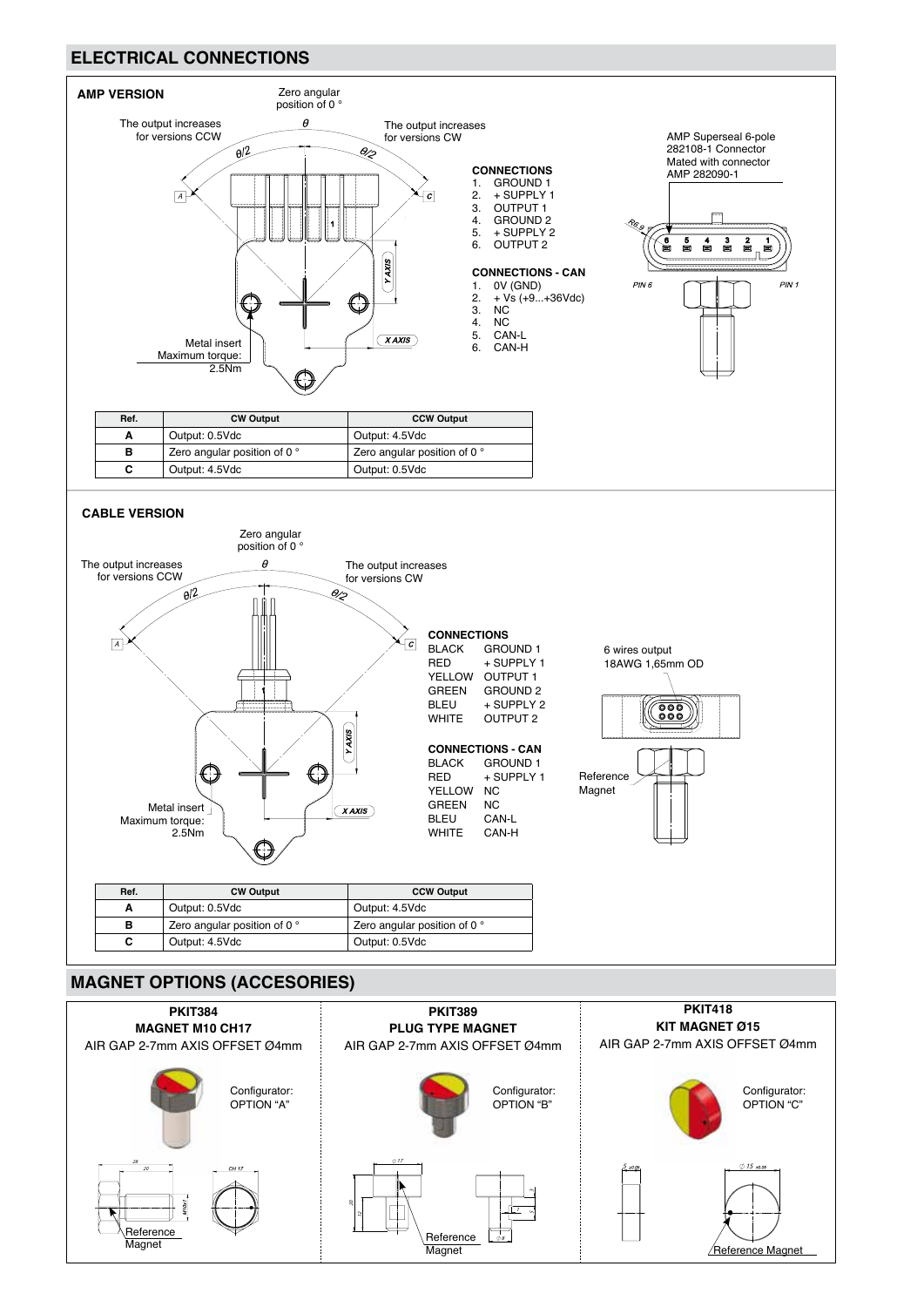# **ELECTRICAL CONNECTIONS**



# **MAGNET OPTIONS (ACCESORIES)**

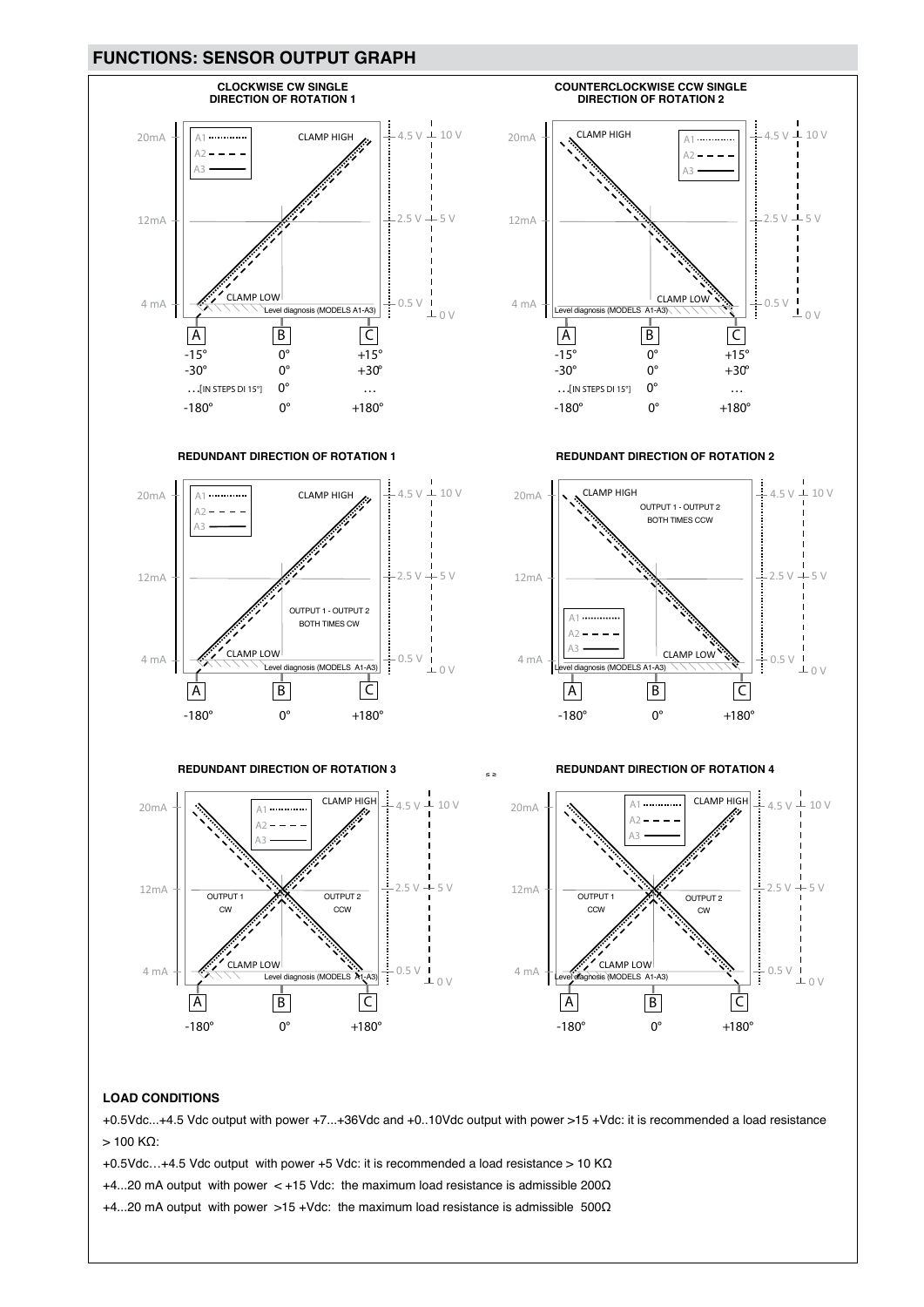## **FUNCTIONS: SENSOR OUTPUT GRAPH**



#### **LOAD CONDITIONS**

+0.5Vdc...+4.5 Vdc output with power +7...+36Vdc and +0..10Vdc output with power >15 +Vdc: it is recommended a load resistance  $>$  100 KΩ:

+0.5Vdc…+4.5 Vdc output with power +5 Vdc: it is recommended a load resistance > 10 KΩ

+4...20 mA output with power < +15 Vdc: the maximum load resistance is admissible 200 $\Omega$ 

+4...20 mA output with power >15 +Vdc: the maximum load resistance is admissible 500Ω